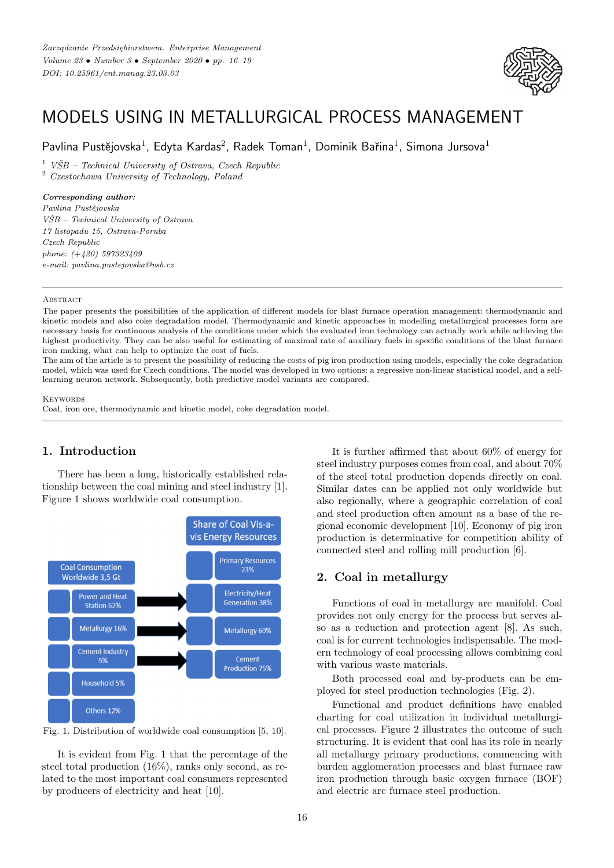

# MODELS USING IN METALLURGICAL PROCESS MANAGEMENT

Pavlina Pustějovska $^1$ , Edyta Kardas $^2$ , Radek Toman $^1$ , Dominik Bařina $^1$ , Simona Jursova $^1$ 

 $1$  *VSB – Technical University of Ostrava, Czech Republic* 

<sup>2</sup> *Czestochowa University of Technology, Poland*

## *Corresponding author:*

*Pavlina Pustˇejovska VSB – Technical University of Ostrava ˇ 17 listopadu 15, Ostrava-Poruba Czech Republic phone: (*+*420) 597323409 e-mail: pavlina.pustejovska@vsb.cz*

#### **ABSTRACT**

The paper presents the possibilities of the application of different models for blast furnace operation management: thermodynamic and kinetic models and also coke degradation model. Thermodynamic and kinetic approaches in modelling metallurgical processes form are necessary basis for continuous analysis of the conditions under which the evaluated iron technology can actually work while achieving the highest productivity. They can be also useful for estimating of maximal rate of auxiliary fuels in specific conditions of the blast furnace iron making, what can help to optimize the cost of fuels.

The aim of the article is to present the possibility of reducing the costs of pig iron production using models, especially the coke degradation model, which was used for Czech conditions. The model was developed in two options: a regressive non-linear statistical model, and a selflearning neuron network. Subsequently, both predictive model variants are compared.

#### **KEYWORDS**

Coal, iron ore, thermodynamic and kinetic model, coke degradation model.

# **1. Introduction**

There has been a long, historically established relationship between the coal mining and steel industry [1]. Figure 1 shows worldwide coal consumption.





It is evident from Fig. 1 that the percentage of the steel total production (16%), ranks only second, as related to the most important coal consumers represented by producers of electricity and heat [10].

It is further affirmed that about 60% of energy for steel industry purposes comes from coal, and about 70% of the steel total production depends directly on coal. Similar dates can be applied not only worldwide but also regionally, where a geographic correlation of coal and steel production often amount as a base of the regional economic development [10]. Economy of pig iron production is determinative for competition ability of connected steel and rolling mill production [6].

## **2. Coal in metallurgy**

Functions of coal in metallurgy are manifold. Coal provides not only energy for the process but serves also as a reduction and protection agent [8]. As such, coal is for current technologies indispensable. The modern technology of coal processing allows combining coal with various waste materials.

Both processed coal and by-products can be employed for steel production technologies (Fig. 2).

Functional and product definitions have enabled charting for coal utilization in individual metallurgical processes. Figure 2 illustrates the outcome of such structuring. It is evident that coal has its role in nearly all metallurgy primary productions, commencing with burden agglomeration processes and blast furnace raw iron production through basic oxygen furnace (BOF) and electric arc furnace steel production.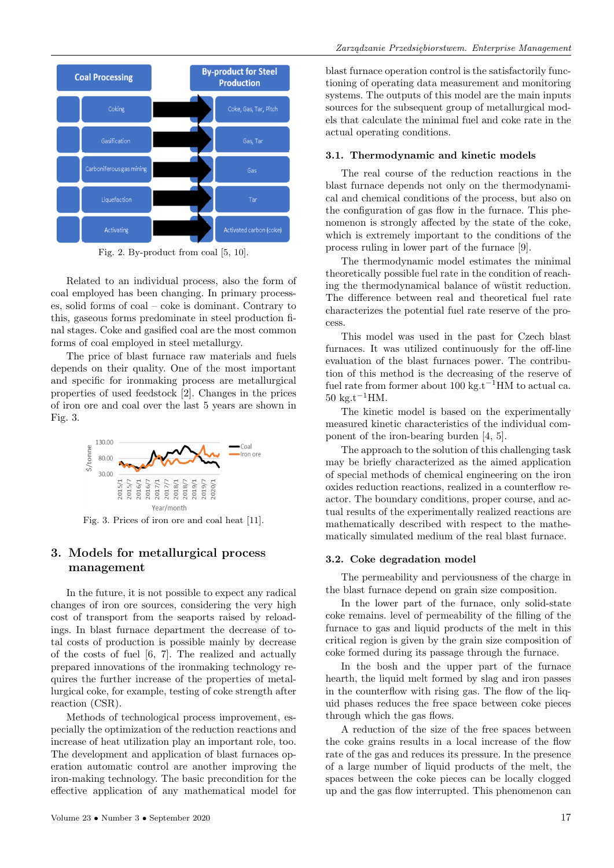

Fig. 2. By-product from coal [5, 10].

Related to an individual process, also the form of coal employed has been changing. In primary processes, solid forms of coal – coke is dominant. Contrary to this, gaseous forms predominate in steel production final stages. Coke and gasified coal are the most common forms of coal employed in steel metallurgy.

The price of blast furnace raw materials and fuels depends on their quality. One of the most important and specific for ironmaking process are metallurgical properties of used feedstock [2]. Changes in the prices of iron ore and coal over the last 5 years are shown in Fig. 3.



Fig. 3. Prices of iron ore and coal heat [11].

## **3. Models for metallurgical process management**

In the future, it is not possible to expect any radical changes of iron ore sources, considering the very high cost of transport from the seaports raised by reloadings. In blast furnace department the decrease of total costs of production is possible mainly by decrease of the costs of fuel [6, 7]. The realized and actually prepared innovations of the ironmaking technology requires the further increase of the properties of metallurgical coke, for example, testing of coke strength after reaction (CSR).

Methods of technological process improvement, especially the optimization of the reduction reactions and increase of heat utilization play an important role, too. The development and application of blast furnaces operation automatic control are another improving the iron-making technology. The basic precondition for the effective application of any mathematical model for blast furnace operation control is the satisfactorily functioning of operating data measurement and monitoring systems. The outputs of this model are the main inputs sources for the subsequent group of metallurgical models that calculate the minimal fuel and coke rate in the actual operating conditions.

#### **3.1. Thermodynamic and kinetic models**

The real course of the reduction reactions in the blast furnace depends not only on the thermodynamical and chemical conditions of the process, but also on the configuration of gas flow in the furnace. This phenomenon is strongly affected by the state of the coke, which is extremely important to the conditions of the process ruling in lower part of the furnace [9].

The thermodynamic model estimates the minimal theoretically possible fuel rate in the condition of reaching the thermodynamical balance of wüstit reduction. The difference between real and theoretical fuel rate characterizes the potential fuel rate reserve of the process.

This model was used in the past for Czech blast furnaces. It was utilized continuously for the off-line evaluation of the blast furnaces power. The contribution of this method is the decreasing of the reserve of fuel rate from former about 100 kg.t<sup>-1</sup>HM to actual ca.  $50 \text{ kg} \cdot \text{t}^{-1}$ HM.

The kinetic model is based on the experimentally measured kinetic characteristics of the individual component of the iron-bearing burden [4, 5].

The approach to the solution of this challenging task may be briefly characterized as the aimed application of special methods of chemical engineering on the iron oxides reduction reactions, realized in a counterflow reactor. The boundary conditions, proper course, and actual results of the experimentally realized reactions are mathematically described with respect to the mathematically simulated medium of the real blast furnace.

#### **3.2. Coke degradation model**

The permeability and perviousness of the charge in the blast furnace depend on grain size composition.

In the lower part of the furnace, only solid-state coke remains. level of permeability of the filling of the furnace to gas and liquid products of the melt in this critical region is given by the grain size composition of coke formed during its passage through the furnace.

In the bosh and the upper part of the furnace hearth, the liquid melt formed by slag and iron passes in the counterflow with rising gas. The flow of the liquid phases reduces the free space between coke pieces through which the gas flows.

A reduction of the size of the free spaces between the coke grains results in a local increase of the flow rate of the gas and reduces its pressure. In the presence of a large number of liquid products of the melt, the spaces between the coke pieces can be locally clogged up and the gas flow interrupted. This phenomenon can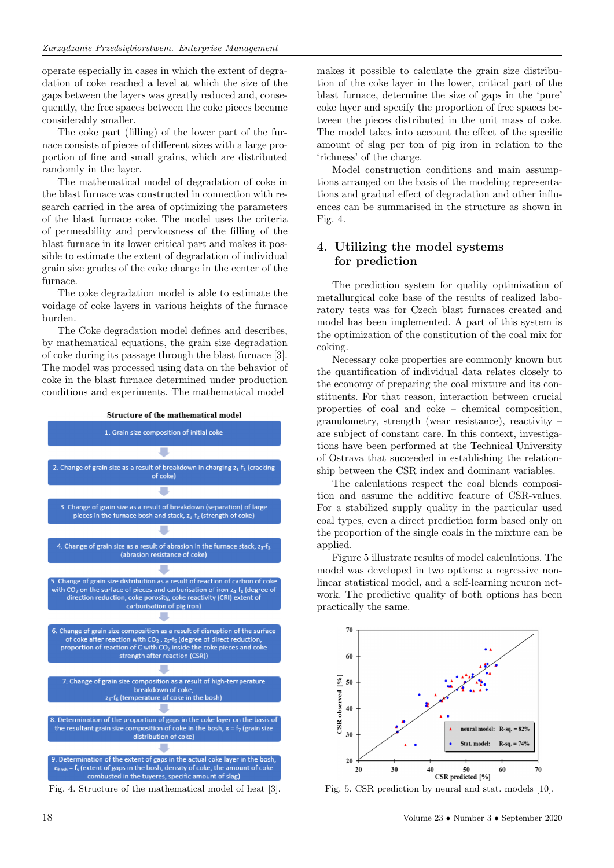operate especially in cases in which the extent of degradation of coke reached a level at which the size of the gaps between the layers was greatly reduced and, consequently, the free spaces between the coke pieces became considerably smaller.

The coke part (filling) of the lower part of the furnace consists of pieces of different sizes with a large proportion of fine and small grains, which are distributed randomly in the layer.

The mathematical model of degradation of coke in the blast furnace was constructed in connection with research carried in the area of optimizing the parameters of the blast furnace coke. The model uses the criteria of permeability and perviousness of the filling of the blast furnace in its lower critical part and makes it possible to estimate the extent of degradation of individual grain size grades of the coke charge in the center of the furnace.

The coke degradation model is able to estimate the voidage of coke layers in various heights of the furnace burden.

The Coke degradation model defines and describes, by mathematical equations, the grain size degradation of coke during its passage through the blast furnace [3]. The model was processed using data on the behavior of coke in the blast furnace determined under production conditions and experiments. The mathematical model



Fig. 4. Structure of the mathematical model of heat [3].

makes it possible to calculate the grain size distribution of the coke layer in the lower, critical part of the blast furnace, determine the size of gaps in the 'pure' coke layer and specify the proportion of free spaces between the pieces distributed in the unit mass of coke. The model takes into account the effect of the specific amount of slag per ton of pig iron in relation to the 'richness' of the charge.

Model construction conditions and main assumptions arranged on the basis of the modeling representations and gradual effect of degradation and other influences can be summarised in the structure as shown in Fig. 4.

# **4. Utilizing the model systems for prediction**

The prediction system for quality optimization of metallurgical coke base of the results of realized laboratory tests was for Czech blast furnaces created and model has been implemented. A part of this system is the optimization of the constitution of the coal mix for coking.

Necessary coke properties are commonly known but the quantification of individual data relates closely to the economy of preparing the coal mixture and its constituents. For that reason, interaction between crucial properties of coal and coke – chemical composition, granulometry, strength (wear resistance), reactivity – are subject of constant care. In this context, investigations have been performed at the Technical University of Ostrava that succeeded in establishing the relationship between the CSR index and dominant variables.

The calculations respect the coal blends composition and assume the additive feature of CSR-values. For a stabilized supply quality in the particular used coal types, even a direct prediction form based only on the proportion of the single coals in the mixture can be applied.

Figure 5 illustrate results of model calculations. The model was developed in two options: a regressive nonlinear statistical model, and a self-learning neuron network. The predictive quality of both options has been practically the same.